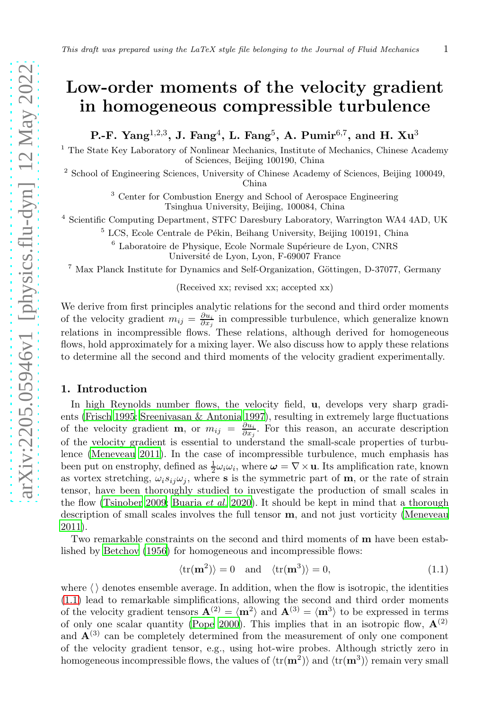# Low-order moments of the velocity gradient in homogeneous compressible turbulence

P.-F.  $\rm Yang^{1,2,3},~J.~Fang^4,~L.~Fang^5,~A.~Pumir^{6,7},~and~H.~Xu^3$ 

<sup>1</sup> The State Key Laboratory of Nonlinear Mechanics, Institute of Mechanics, Chinese Academy of Sciences, Beijing 100190, China

<sup>2</sup> School of Engineering Sciences, University of Chinese Academy of Sciences, Beijing 100049, China

> <sup>3</sup> Center for Combustion Energy and School of Aerospace Engineering Tsinghua University, Beijing, 100084, China

4 Scientific Computing Department, STFC Daresbury Laboratory, Warrington WA4 4AD, UK

 $5$  LCS, Ecole Centrale de Pékin, Beihang University, Beijing 100191, China

 $6$  Laboratoire de Physique, Ecole Normale Supérieure de Lyon, CNRS Université de Lyon, Lyon, F-69007 France

<sup>7</sup> Max Planck Institute for Dynamics and Self-Organization, Göttingen, D-37077, Germany

(Received xx; revised xx; accepted xx)

We derive from first principles analytic relations for the second and third order moments of the velocity gradient  $m_{ij} = \frac{\partial u_i}{\partial x_j}$  in compressible turbulence, which generalize known relations in incompressible flows. These relations, although derived for homogeneous flows, hold approximately for a mixing layer. We also discuss how to apply these relations to determine all the second and third moments of the velocity gradient experimentally.

### 1. Introduction

In high Reynolds number flows, the velocity field, **u**, develops very sharp gradients [\(Frisch 1995;](#page-9-0) [Sreenivasan & Antonia 1997](#page-9-1)), resulting in extremely large fluctuations of the velocity gradient **m**, or  $m_{ij} = \frac{\partial u_i}{\partial x_j}$ . For this reason, an accurate description of the velocity gradient is essential to understand the small-scale properties of turbulence [\(Meneveau 2011\)](#page-9-2). In the case of incompressible turbulence, much emphasis has been put on enstrophy, defined as  $\frac{1}{2}\omega_i\omega_i$ , where  $\omega = \nabla \times \mathbf{u}$ . Its amplification rate, known as vortex stretching,  $\omega_i s_{ij} \omega_j$ , where s is the symmetric part of **m**, or the rate of strain tensor, have been thoroughly studied to investigate the production of small scales in the flow [\(Tsinober 2009;](#page-9-3) [Buaria](#page-8-0) et al. [2020\)](#page-8-0). It should be kept in mind that a thorough description of small scales involves the full tensor m, and not just vorticity [\(Meneveau](#page-9-2) [2011\)](#page-9-2).

Two remarkable constraints on the second and third moments of m have been established by [Betchov \(1956\)](#page-8-1) for homogeneous and incompressible flows:

<span id="page-0-0"></span>
$$
\langle \text{tr}(\mathbf{m}^2) \rangle = 0 \quad \text{and} \quad \langle \text{tr}(\mathbf{m}^3) \rangle = 0,\tag{1.1}
$$

where  $\langle \rangle$  denotes ensemble average. In addition, when the flow is isotropic, the identities [\(1.1\)](#page-0-0) lead to remarkable simplifications, allowing the second and third order moments of the velocity gradient tensors  $\mathbf{A}^{(2)} = \langle \mathbf{m}^2 \rangle$  and  $\mathbf{A}^{(3)} = \langle \mathbf{m}^3 \rangle$  to be expressed in terms of only one scalar quantity [\(Pope 2000\)](#page-9-4). This implies that in an isotropic flow,  $\mathbf{A}^{(2)}$ and  $\mathbf{A}^{(3)}$  can be completely determined from the measurement of only one component of the velocity gradient tensor, e.g., using hot-wire probes. Although strictly zero in homogeneous incompressible flows, the values of  $\langle\mathrm{tr}(\mathbf{m}^2)\rangle$  and  $\langle\mathrm{tr}(\mathbf{m}^3)\rangle$  remain very small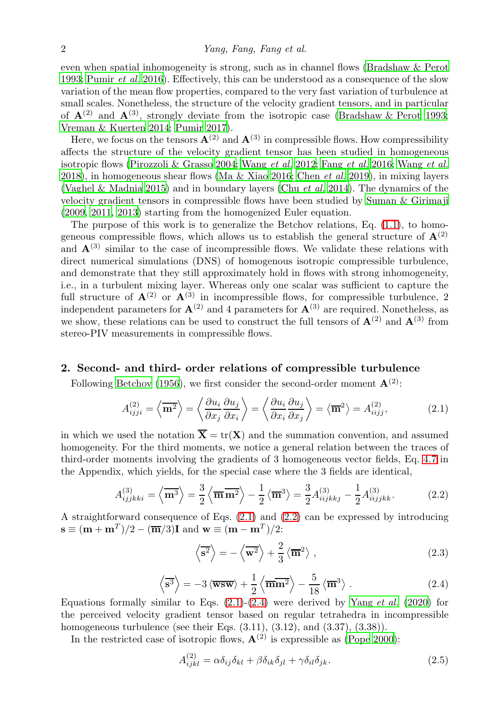even when spatial inhomogeneity is strong, such as in channel flows [\(Bradshaw & Perot](#page-8-2) [1993;](#page-8-2) [Pumir](#page-9-5) et al. [2016\)](#page-9-5). Effectively, this can be understood as a consequence of the slow variation of the mean flow properties, compared to the very fast variation of turbulence at small scales. Nonetheless, the structure of the velocity gradient tensors, and in particular of  $\mathbf{A}^{(2)}$  and  $\mathbf{A}^{(3)}$ , strongly deviate from the isotropic case [\(Bradshaw & Perot 1993;](#page-8-2) [Vreman & Kuerten 2014;](#page-9-6) [Pumir 2017\)](#page-9-7).

Here, we focus on the tensors  $\mathbf{A}^{(2)}$  and  $\mathbf{A}^{(3)}$  in compressible flows. How compressibility affects the structure of the velocity gradient tensor has been studied in homogeneous isotropic flows [\(Pirozzoli & Grasso 2004;](#page-9-8) [Wang](#page-9-9) et al. [2012;](#page-9-9) Fang [et al.](#page-9-10) [2016;](#page-9-10) [Wang](#page-9-11) et al. [2018\)](#page-9-11), in homogeneous shear flows [\(Ma & Xiao 2016;](#page-9-12) [Chen](#page-8-3) *et al.* [2019](#page-8-3)), in mixing layers [\(Vaghel & Madnia 2015\)](#page-9-13) and in boundary layers (Chu [et al.](#page-8-4) [2014\)](#page-8-4). The dynamics of the velocity gradient tensors in compressible flows have been studied by [Suman & Girimaji](#page-9-14) [\(2009,](#page-9-14) [2011,](#page-9-15) [2013\)](#page-9-16) starting from the homogenized Euler equation.

The purpose of this work is to generalize the Betchov relations, Eq.  $(1.1)$ , to homogeneous compressible flows, which allows us to establish the general structure of  $\mathbf{A}^{(2)}$ and  $\mathbf{A}^{(3)}$  similar to the case of incompressible flows. We validate these relations with direct numerical simulations (DNS) of homogenous isotropic compressible turbulence, and demonstrate that they still approximately hold in flows with strong inhomogeneity, i.e., in a turbulent mixing layer. Whereas only one scalar was sufficient to capture the full structure of  $\mathbf{A}^{(2)}$  or  $\mathbf{A}^{(3)}$  in incompressible flows, for compressible turbulence, 2 independent parameters for  $\mathbf{A}^{(2)}$  and 4 parameters for  $\mathbf{A}^{(3)}$  are required. Nonetheless, as we show, these relations can be used to construct the full tensors of  $\mathbf{A}^{(2)}$  and  $\mathbf{A}^{(3)}$  from stereo-PIV measurements in compressible flows.

## 2. Second- and third- order relations of compressible turbulence

Following [Betchov \(1956\)](#page-8-1), we first consider the second-order moment  $\mathbf{A}^{(2)}$ :

<span id="page-1-0"></span>
$$
A_{ijji}^{(2)} = \left\langle \overline{\mathbf{m}^2} \right\rangle = \left\langle \frac{\partial u_i}{\partial x_j} \frac{\partial u_j}{\partial x_i} \right\rangle = \left\langle \frac{\partial u_i}{\partial x_i} \frac{\partial u_j}{\partial x_j} \right\rangle = \left\langle \overline{\mathbf{m}}^2 \right\rangle = A_{iijj}^{(2)},\tag{2.1}
$$

in which we used the notation  $\overline{\mathbf{X}} = \text{tr}(\mathbf{X})$  and the summation convention, and assumed homogeneity. For the third moments, we notice a general relation between the traces of third-order moments involving the gradients of 3 homogeneous vector fields, Eq. [4.7](#page-8-5) in the Appendix, which yields, for the special case where the 3 fields are identical,

<span id="page-1-1"></span>
$$
A_{ijjkki}^{(3)} = \left\langle \overline{\mathbf{m}}^3 \right\rangle = \frac{3}{2} \left\langle \overline{\mathbf{m}} \overline{\mathbf{m}}^2 \right\rangle - \frac{1}{2} \left\langle \overline{\mathbf{m}}^3 \right\rangle = \frac{3}{2} A_{iijkkj}^{(3)} - \frac{1}{2} A_{iijjkk}^{(3)}.
$$
 (2.2)

A straightforward consequence of Eqs. [\(2.1\)](#page-1-0) and [\(2.2\)](#page-1-1) can be expressed by introducing  $\mathbf{s} \equiv (\mathbf{m} + \mathbf{m}^T)/2 - (\overline{\mathbf{m}}/3)\mathbf{I}$  and  $\mathbf{w} \equiv (\mathbf{m} - \mathbf{m}^T)/2$ :

$$
\left\langle \overline{\mathbf{s}^2} \right\rangle = -\left\langle \overline{\mathbf{w}^2} \right\rangle + \frac{2}{3} \left\langle \overline{\mathbf{m}}^2 \right\rangle ,\qquad (2.3)
$$

<span id="page-1-2"></span>
$$
\left\langle \overline{\mathbf{s}^3} \right\rangle = -3 \left\langle \overline{\mathbf{wsw}} \right\rangle + \frac{1}{2} \left\langle \overline{\mathbf{m}} \overline{\mathbf{m}^2} \right\rangle - \frac{5}{18} \left\langle \overline{\mathbf{m}}^3 \right\rangle . \tag{2.4}
$$

Equations formally similar to Eqs.  $(2.1)-(2.4)$  $(2.1)-(2.4)$  were derived by [Yang](#page-10-0) *et al.*  $(2020)$  $(2020)$  for the perceived velocity gradient tensor based on regular tetrahedra in incompressible homogeneous turbulence (see their Eqs. (3.11), (3.12), and (3.37), (3.38)).

In the restricted case of isotropic flows,  $\mathbf{A}^{(2)}$  is expressible as [\(Pope 2000\)](#page-9-4):

$$
A_{ijkl}^{(2)} = \alpha \delta_{ij} \delta_{kl} + \beta \delta_{ik} \delta_{jl} + \gamma \delta_{il} \delta_{jk}.
$$
 (2.5)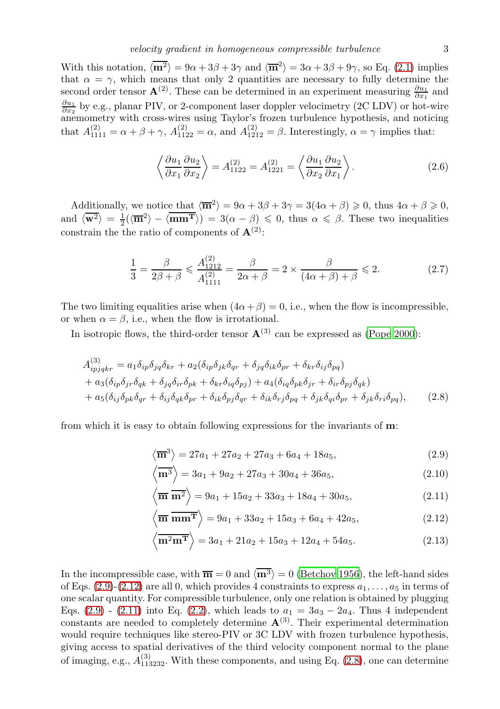With this notation,  $\langle \mathbf{m}^2 \rangle = 9\alpha + 3\beta + 3\gamma$  and  $\langle \overline{\mathbf{m}}^2 \rangle = 3\alpha + 3\beta + 9\gamma$ , so Eq. [\(2.1\)](#page-1-0) implies that  $\alpha = \gamma$ , which means that only 2 quantities are necessary to fully determine the second order tensor  $\mathbf{A}^{(2)}$ . These can be determined in an experiment measuring  $\frac{\partial u_1}{\partial x_1}$  and  $\frac{\partial u_1}{\partial x_2}$  by e.g., planar PIV, or 2-component laser doppler velocimetry (2C LDV) or hot-wire anemometry with cross-wires using Taylor's frozen turbulence hypothesis, and noticing that  $A_{1111}^{(2)} = \alpha + \beta + \gamma$ ,  $A_{1122}^{(2)} = \alpha$ , and  $A_{1212}^{(2)} = \beta$ . Interestingly,  $\alpha = \gamma$  implies that:

<span id="page-2-4"></span>
$$
\left\langle \frac{\partial u_1}{\partial x_1} \frac{\partial u_2}{\partial x_2} \right\rangle = A_{1122}^{(2)} = A_{1221}^{(2)} = \left\langle \frac{\partial u_1}{\partial x_2} \frac{\partial u_2}{\partial x_1} \right\rangle.
$$
 (2.6)

Additionally, we notice that  $\langle \overline{\mathbf{m}}^2 \rangle = 9\alpha + 3\beta + 3\gamma = 3(4\alpha + \beta) \geq 0$ , thus  $4\alpha + \beta \geq 0$ , and  $\langle \overline{\mathbf{w}^2} \rangle = \frac{1}{2} (\langle \overline{\mathbf{m}}^2 \rangle - \langle \overline{\mathbf{m}} \overline{\mathbf{m}}^T \rangle) = 3(\alpha - \beta) \leq 0$ , thus  $\alpha \leq \beta$ . These two inequalities constrain the the ratio of components of  $\mathbf{A}^{(2)}$ :

$$
\frac{1}{3} = \frac{\beta}{2\beta + \beta} \le \frac{A_{1212}^{(2)}}{A_{1111}^{(2)}} = \frac{\beta}{2\alpha + \beta} = 2 \times \frac{\beta}{(4\alpha + \beta) + \beta} \le 2.
$$
 (2.7)

The two limiting equalities arise when  $(4\alpha + \beta) = 0$ , i.e., when the flow is incompressible, or when  $\alpha = \beta$ , i.e., when the flow is irrotational.

In isotropic flows, the third-order tensor  $\mathbf{A}^{(3)}$  can be expressed as [\(Pope 2000\)](#page-9-4):

$$
A_{ipjqkr}^{(3)} = a_1 \delta_{ip} \delta_{jq} \delta_{kr} + a_2 (\delta_{ip} \delta_{jk} \delta_{qr} + \delta_{jq} \delta_{ik} \delta_{pr} + \delta_{kr} \delta_{ij} \delta_{pq})
$$
  
+ 
$$
a_3 (\delta_{ip} \delta_{jr} \delta_{qk} + \delta_{jq} \delta_{ir} \delta_{pk} + \delta_{kr} \delta_{iq} \delta_{pj}) + a_4 (\delta_{iq} \delta_{pk} \delta_{jr} + \delta_{ir} \delta_{pj} \delta_{qk})
$$
  
+ 
$$
a_5 (\delta_{ij} \delta_{pk} \delta_{qr} + \delta_{ij} \delta_{qk} \delta_{pr} + \delta_{ik} \delta_{pj} \delta_{qr} + \delta_{ik} \delta_{rj} \delta_{pq} + \delta_{jk} \delta_{qi} \delta_{pr} + \delta_{jk} \delta_{ri} \delta_{pq}),
$$
(2.8)

from which it is easy to obtain following expressions for the invariants of m:

<span id="page-2-3"></span><span id="page-2-0"></span>
$$
\langle \overline{\mathbf{m}}^3 \rangle = 27a_1 + 27a_2 + 27a_3 + 6a_4 + 18a_5, \tag{2.9}
$$

$$
\left\langle \overline{\mathbf{m}^3} \right\rangle = 3a_1 + 9a_2 + 27a_3 + 30a_4 + 36a_5,
$$
 (2.10)

<span id="page-2-2"></span>
$$
\left\langle \overline{\mathbf{m}} \ \overline{\mathbf{m}^2} \right\rangle = 9a_1 + 15a_2 + 33a_3 + 18a_4 + 30a_5, \tag{2.11}
$$

<span id="page-2-1"></span>
$$
\left\langle \overline{\mathbf{m}} \overline{\mathbf{m}} \overline{\mathbf{m}} \overline{\mathbf{m}} \right\rangle = 9a_1 + 33a_2 + 15a_3 + 6a_4 + 42a_5,
$$
\n(2.12)

$$
\left\langle \overline{\mathbf{m}^2 \mathbf{m}^T} \right\rangle = 3a_1 + 21a_2 + 15a_3 + 12a_4 + 54a_5. \tag{2.13}
$$

In the incompressible case, with  $\overline{\mathbf{m}} = 0$  and  $\langle \overline{\mathbf{m}^3} \rangle = 0$  [\(Betchov 1956](#page-8-1)), the left-hand sides of Eqs.  $(2.9)-(2.12)$  $(2.9)-(2.12)$  are all 0, which provides 4 constraints to express  $a_1, \ldots, a_5$  in terms of one scalar quantity. For compressible turbulence, only one relation is obtained by plugging Eqs. [\(2.9\)](#page-2-0) - [\(2.11\)](#page-2-2) into Eq. [\(2.2\)](#page-1-1), which leads to  $a_1 = 3a_3 - 2a_4$ . Thus 4 independent constants are needed to completely determine  $\mathbf{A}^{(3)}$ . Their experimental determination would require techniques like stereo-PIV or 3C LDV with frozen turbulence hypothesis, giving access to spatial derivatives of the third velocity component normal to the plane of imaging, e.g.,  $A_{113232}^{(3)}$ . With these components, and using Eq. [\(2.8\)](#page-2-3), one can determine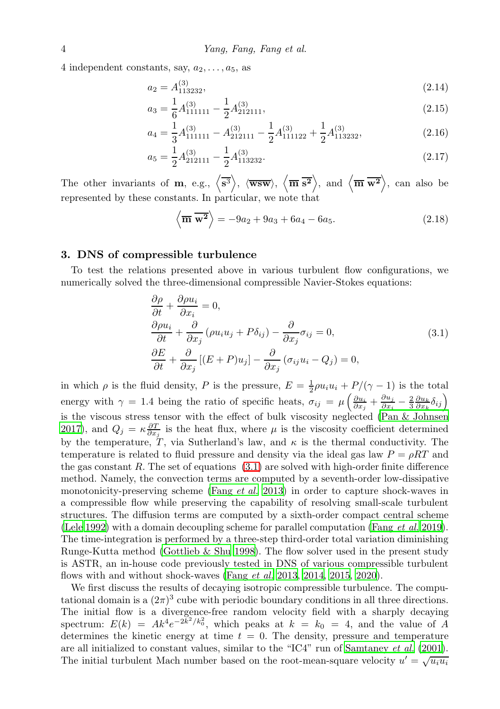4 independent constants, say,  $a_2, \ldots, a_5$ , as

$$
a_2 = A_{113232}^{(3)}, \tag{2.14}
$$

<span id="page-3-2"></span>
$$
a_3 = \frac{1}{6}A_{111111}^{(3)} - \frac{1}{2}A_{212111}^{(3)},\tag{2.15}
$$

$$
a_4 = \frac{1}{3}A_{111111}^{(3)} - A_{212111}^{(3)} - \frac{1}{2}A_{111122}^{(3)} + \frac{1}{2}A_{113232}^{(3)},
$$
\n(2.16)

$$
a_5 = \frac{1}{2}A_{212111}^{(3)} - \frac{1}{2}A_{113232}^{(3)}.
$$
\n(2.17)

The other invariants of **m**, e.g.,  $\langle \overline{s^3} \rangle$ ,  $\langle \overline{wsw} \rangle$ ,  $\langle \overline{m} \overline{s^2} \rangle$ , and  $\langle \overline{m} \overline{w^2} \rangle$ , can also be represented by these constants. In particular, we note that

<span id="page-3-3"></span><span id="page-3-1"></span>
$$
\left\langle \overline{\mathbf{m}} \overline{\mathbf{w}^2} \right\rangle = -9a_2 + 9a_3 + 6a_4 - 6a_5. \tag{2.18}
$$

### 3. DNS of compressible turbulence

To test the relations presented above in various turbulent flow configurations, we numerically solved the three-dimensional compressible Navier-Stokes equations:

<span id="page-3-0"></span>
$$
\frac{\partial \rho}{\partial t} + \frac{\partial \rho u_i}{\partial x_i} = 0,
$$
\n
$$
\frac{\partial \rho u_i}{\partial t} + \frac{\partial}{\partial x_j} (\rho u_i u_j + P \delta_{ij}) - \frac{\partial}{\partial x_j} \sigma_{ij} = 0,
$$
\n
$$
\frac{\partial E}{\partial t} + \frac{\partial}{\partial x_j} [(E + P)u_j] - \frac{\partial}{\partial x_j} (\sigma_{ij} u_i - Q_j) = 0,
$$
\n(3.1)

in which  $\rho$  is the fluid density, P is the pressure,  $E = \frac{1}{2}\rho u_i u_i + P/(\gamma - 1)$  is the total energy with  $\gamma = 1.4$  being the ratio of specific heats,  $\sigma_{ij} = \mu \left( \frac{\partial u_i}{\partial x_j} + \frac{\partial u_j}{\partial x_i} \right)$  $\frac{\partial u_j}{\partial x_i} - \frac{2}{3} \frac{\partial u_k}{\partial x_k} \delta_{ij} \Big)$ is the viscous stress tensor with the effect of bulk viscosity neglected [\(Pan & Johnsen](#page-9-17) [2017\)](#page-9-17), and  $Q_j = \kappa \frac{\partial T}{\partial x_j}$  is the heat flux, where  $\mu$  is the viscosity coefficient determined by the temperature, T, via Sutherland's law, and  $\kappa$  is the thermal conductivity. The temperature is related to fluid pressure and density via the ideal gas law  $P = \rho RT$  and the gas constant  $R$ . The set of equations  $(3.1)$  are solved with high-order finite difference method. Namely, the convection terms are computed by a seventh-order low-dissipative monotonicity-preserving scheme (Fang [et al.](#page-9-18) [2013\)](#page-9-18) in order to capture shock-waves in a compressible flow while preserving the capability of resolving small-scale turbulent structures. The diffusion terms are computed by a sixth-order compact central scheme [\(Lele 1992](#page-9-19)) with a domain decoupling scheme for parallel computation (Fang [et al.](#page-8-6) [2019\)](#page-8-6). The time-integration is performed by a three-step third-order total variation diminishing Runge-Kutta method [\(Gottlieb & Shu 1998\)](#page-9-20). The flow solver used in the present study is ASTR, an in-house code previously tested in DNS of various compressible turbulent flows with and without shock-waves (Fang [et al.](#page-9-18) [2013,](#page-9-18) [2014,](#page-9-21) [2015,](#page-9-22) [2020\)](#page-9-23).

We first discuss the results of decaying isotropic compressible turbulence. The computational domain is a  $(2\pi)^3$  cube with periodic boundary conditions in all three directions. The initial flow is a divergence-free random velocity field with a sharply decaying spectrum:  $E(k) = Ak^4e^{-2k^2/k_0^2}$ , which peaks at  $k = k_0 = 4$ , and the value of A determines the kinetic energy at time  $t = 0$ . The density, pressure and temperature are all initialized to constant values, similar to the "IC4" run of [Samtaney](#page-9-24) et al. [\(2001\)](#page-9-24). The initial turbulent Mach number based on the root-mean-square velocity  $u' = \sqrt{u_i u_i}$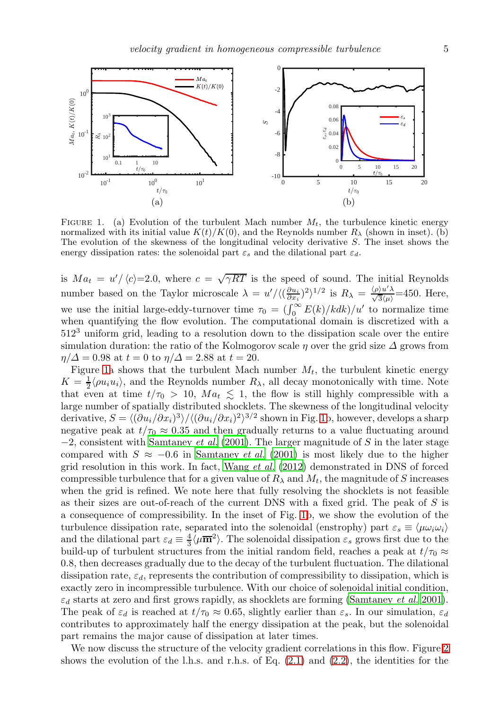

<span id="page-4-0"></span>FIGURE 1. (a) Evolution of the turbulent Mach number  $M_t$ , the turbulence kinetic energy normalized with its initial value  $K(t)/K(0)$ , and the Reynolds number  $R_{\lambda}$  (shown in inset). (b) The evolution of the skewness of the longitudinal velocity derivative S. The inset shows the energy dissipation rates: the solenoidal part  $\varepsilon_s$  and the dilational part  $\varepsilon_d$ .

is  $Ma_t = u'/\langle c \rangle = 2.0$ , where  $c = \sqrt{\gamma RT}$  is the speed of sound. The initial Reynolds number based on the Taylor microscale  $\lambda = u'/\langle (\frac{\partial u_i}{\partial x_i})^2 \rangle^{1/2}$  is  $R_\lambda = \frac{\langle \rho \rangle u' \lambda}{\sqrt{3} \langle \mu \rangle} = 450$ . Here, we use the initial large-eddy-turnover time  $\tau_0 = (\int_0^\infty E(k)/kdk)/u'$  to normalize time when quantifying the flow evolution. The computational domain is discretized with a 512<sup>3</sup> uniform grid, leading to a resolution down to the dissipation scale over the entire simulation duration: the ratio of the Kolmogorov scale  $\eta$  over the grid size  $\Delta$  grows from  $\eta/\Delta = 0.98$  at  $t = 0$  to  $\eta/\Delta = 2.88$  at  $t = 20$ .

Figure [1a](#page-4-0) shows that the turbulent Mach number  $M_t$ , the turbulent kinetic energy  $K = \frac{1}{2} \langle \rho u_i u_i \rangle$ , and the Reynolds number  $R_\lambda$ , all decay monotonically with time. Note that even at time  $t/\tau_0 > 10$ ,  $Ma_t \leq 1$ , the flow is still highly compressible with a large number of spatially distributed shocklets. The skewness of the longitudinal velocity derivative,  $S = \langle (\partial u_i/\partial x_i)^3 \rangle / \langle (\partial u_i/\partial x_i)^2 \rangle^{3/2}$  shown in Fig. [1b](#page-4-0), however, develops a sharp negative peak at  $t/\tau_0 \approx 0.35$  and then gradually returns to a value fluctuating around  $-2$ , consistent with [Samtaney](#page-9-24) *et al.* [\(2001\)](#page-9-24). The larger magnitude of S in the later stage compared with  $S \approx -0.6$  in [Samtaney](#page-9-24) *et al.* [\(2001\)](#page-9-24) is most likely due to the higher grid resolution in this work. In fact, [Wang](#page-9-9) et al. [\(2012\)](#page-9-9) demonstrated in DNS of forced compressible turbulence that for a given value of  $R_{\lambda}$  and  $M_t$ , the magnitude of S increases when the grid is refined. We note here that fully resolving the shocklets is not feasible as their sizes are out-of-reach of the current DNS with a fixed grid. The peak of S is a consequence of compressibility. In the inset of Fig. [1b](#page-4-0), we show the evolution of the turbulence dissipation rate, separated into the solenoidal (enstrophy) part  $\varepsilon_s \equiv \langle \mu \omega_i \omega_i \rangle$ and the dilational part  $\varepsilon_d \equiv \frac{4}{3} \langle \mu \overline{m}^2 \rangle$ . The solenoidal dissipation  $\varepsilon_s$  grows first due to the build-up of turbulent structures from the initial random field, reaches a peak at  $t/\tau_0 \approx$ 0.8, then decreases gradually due to the decay of the turbulent fluctuation. The dilational dissipation rate,  $\varepsilon_d$ , represents the contribution of compressibility to dissipation, which is exactly zero in incompressible turbulence. With our choice of solenoidal initial condition,  $\varepsilon_d$  starts at zero and first grows rapidly, as shocklets are forming [\(Samtaney](#page-9-24) *et al.* [2001\)](#page-9-24). The peak of  $\varepsilon_d$  is reached at  $t/\tau_0 \approx 0.65$ , slightly earlier than  $\varepsilon_s$ . In our simulation,  $\varepsilon_d$ contributes to approximately half the energy dissipation at the peak, but the solenoidal part remains the major cause of dissipation at later times.

We now discuss the structure of the velocity gradient correlations in this flow. Figure [2](#page-5-0) shows the evolution of the l.h.s. and r.h.s. of Eq.  $(2.1)$  and  $(2.2)$ , the identities for the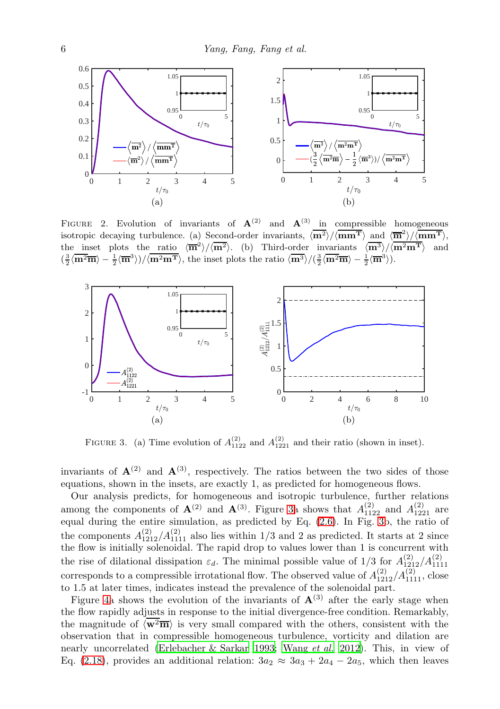

<span id="page-5-0"></span>FIGURE 2. Evolution of invariants of  $A^{(2)}$  and  $A^{(3)}$  in compressible homogeneous isotropic decaying turbulence. (a) Second-order invariants,  $\langle \overline{m^2} \rangle / \langle \overline{mm^T} \rangle$  and  $\langle \overline{m}^2 \rangle / \langle \overline{mm^T} \rangle$ , the inset plots the ratio  $\langle \overline{m}^2 \rangle / \langle \overline{m^2} \rangle$ . (b) Third-order invariants  $\langle \overline{m^3} \rangle / \langle \overline{m^2m^T} \rangle$  and  $\left(\frac{3}{2}\langle \overline{\mathbf{m}^2\mathbf{m}}\rangle - \frac{1}{2}\langle \overline{\mathbf{m}^3}\rangle\right) / \langle \overline{\mathbf{m}^2\mathbf{m}^T}\rangle$ , the inset plots the ratio  $\langle \overline{\mathbf{m}^3}\rangle / \langle \frac{3}{2}\langle \overline{\mathbf{m}^2\mathbf{m}}\rangle - \frac{1}{2}\langle \overline{\mathbf{m}^3}\rangle$ .



<span id="page-5-1"></span>FIGURE 3. (a) Time evolution of  $A_{1122}^{(2)}$  and  $A_{1221}^{(2)}$  and their ratio (shown in inset).

invariants of  $\mathbf{A}^{(2)}$  and  $\mathbf{A}^{(3)}$ , respectively. The ratios between the two sides of those equations, shown in the insets, are exactly 1, as predicted for homogeneous flows.

Our analysis predicts, for homogeneous and isotropic turbulence, further relations among the components of  $\mathbf{A}^{(2)}$  and  $\mathbf{A}^{(3)}$ . Figure [3a](#page-5-1) shows that  $A_{1122}^{(2)}$  and  $A_{1221}^{(2)}$  are equal during the entire simulation, as predicted by Eq. [\(2.6\)](#page-2-4). In Fig. [3b](#page-5-1), the ratio of the components  $A_{1212}^{(2)}/A_{1111}^{(2)}$  also lies within 1/3 and 2 as predicted. It starts at 2 since the flow is initially solenoidal. The rapid drop to values lower than 1 is concurrent with the rise of dilational dissipation  $\varepsilon_d$ . The minimal possible value of 1/3 for  $A_{1212}^{(2)}/A_{1111}^{(2)}$ corresponds to a compressible irrotational flow. The observed value of  $A_{1212}^{(2)}/A_{1111}^{(2)}$ , close to 1.5 at later times, indicates instead the prevalence of the solenoidal part.

Figure [4a](#page-6-0) shows the evolution of the invariants of  $\mathbf{A}^{(3)}$  after the early stage when the flow rapidly adjusts in response to the initial divergence-free condition. Remarkably, the magnitude of  $\langle w^2 \overline{m} \rangle$  is very small compared with the others, consistent with the observation that in compressible homogeneous turbulence, vorticity and dilation are nearly uncorrelated [\(Erlebacher & Sarkar 1993;](#page-8-7) [Wang](#page-9-9) et al. [2012](#page-9-9)). This, in view of Eq. [\(2.18\)](#page-3-1), provides an additional relation:  $3a_2 \approx 3a_3 + 2a_4 - 2a_5$ , which then leaves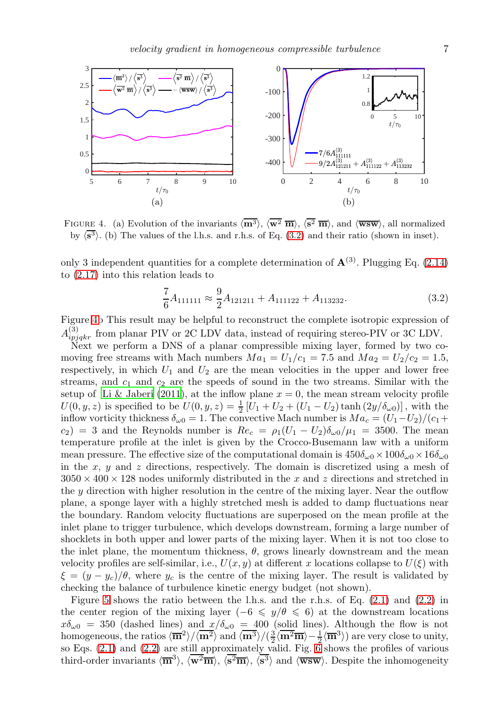

<span id="page-6-0"></span>FIGURE 4. (a) Evolution of the invariants  $\langle \overline{\mathbf{m}}^3 \rangle$ ,  $\langle \overline{\mathbf{w}^2} \overline{\mathbf{m}} \rangle$ ,  $\langle \overline{\mathbf{s}^2} \overline{\mathbf{m}} \rangle$ , and  $\langle \overline{\mathbf{wsw}} \rangle$ , all normalized by  $\langle s^3 \rangle$ . (b) The values of the l.h.s. and r.h.s. of Eq. [\(3.2\)](#page-6-1) and their ratio (shown in inset).

only 3 independent quantities for a complete determination of  $\mathbf{A}^{(3)}$ . Plugging Eq. [\(2.14\)](#page-3-2) to [\(2.17\)](#page-3-3) into this relation leads to

<span id="page-6-1"></span>
$$
\frac{7}{6}A_{111111} \approx \frac{9}{2}A_{121211} + A_{111122} + A_{113232}.
$$
 (3.2)

Figure [4b](#page-6-0) This result may be helpful to reconstruct the complete isotropic expression of  $A_{ipjqkr}^{(3)}$  from planar PIV or 2C LDV data, instead of requiring stereo-PIV or 3C LDV.

Next we perform a DNS of a planar compressible mixing layer, formed by two comoving free streams with Mach numbers  $Ma_1 = U_1/c_1 = 7.5$  and  $Ma_2 = U_2/c_2 = 1.5$ , respectively, in which  $U_1$  and  $U_2$  are the mean velocities in the upper and lower free streams, and  $c_1$  and  $c_2$  are the speeds of sound in the two streams. Similar with the setup of [Li & Jaberi \(2011\)](#page-9-25), at the inflow plane  $x = 0$ , the mean stream velocity profile  $U(0, y, z)$  is specified to be  $U(0, y, z) = \frac{1}{2} [U_1 + U_2 + (U_1 - U_2) \tanh (2y/\delta_{\omega 0})]$ , with the inflow vorticity thickness  $\delta_{\omega 0} = 1$ . The convective Mach number is  $Ma_c = (U_1-U_2)/(c_1+\epsilon_2)$  $c_2$ ) = 3 and the Reynolds number is  $Re_c = \rho_1(U_1 - U_2)\delta_{\omega 0}/\mu_1 = 3500$ . The mean temperature profile at the inlet is given by the Crocco-Busemann law with a uniform mean pressure. The effective size of the computational domain is  $450\delta_{\omega}$  ×  $100\delta_{\omega}$  ×  $16\delta_{\omega}$ in the x, y and z directions, respectively. The domain is discretized using a mesh of  $3050 \times 400 \times 128$  nodes uniformly distributed in the x and z directions and stretched in the  $y$  direction with higher resolution in the centre of the mixing layer. Near the outflow plane, a sponge layer with a highly stretched mesh is added to damp fluctuations near the boundary. Random velocity fluctuations are superposed on the mean profile at the inlet plane to trigger turbulence, which develops downstream, forming a large number of shocklets in both upper and lower parts of the mixing layer. When it is not too close to the inlet plane, the momentum thickness,  $\theta$ , grows linearly downstream and the mean velocity profiles are self-similar, i.e.,  $U(x, y)$  at different x locations collapse to  $U(\xi)$  with  $\xi = (y - y_c)/\theta$ , where  $y_c$  is the centre of the mixing layer. The result is validated by checking the balance of turbulence kinetic energy budget (not shown).

Figure [5](#page-7-0) shows the ratio between the l.h.s. and the r.h.s. of Eq. [\(2.1\)](#page-1-0) and [\(2.2\)](#page-1-1) in the center region of the mixing layer (−6  $\leq y/\theta \leq 6$ ) at the downstream locations  $x\delta_{\omega 0} = 350$  (dashed lines) and  $x/\delta_{\omega 0} = 400$  (solid lines). Although the flow is not homogeneous, the ratios  $\langle \overline{m}^2 \rangle / \langle \overline{m}^2 \rangle$  and  $\langle \overline{m}^3 \rangle / (\frac{3}{2} \langle \overline{m}^2 \overline{m} \rangle - \frac{1}{2} \langle \overline{m}^3 \rangle)$  are very close to unity, so Eqs.  $(2.1)$  and  $(2.2)$  are still approximately valid. Fig. [6](#page-7-1) shows the profiles of various third-order invariants  $\langle \overline{\mathbf{m}}^3 \rangle$ ,  $\langle \overline{\mathbf{w}}^2 \overline{\mathbf{m}} \rangle$ ,  $\langle \overline{\mathbf{s}}^3 \overline{\mathbf{m}} \rangle$ ,  $\langle \overline{\mathbf{s}}^3 \rangle$  and  $\langle \overline{\mathbf{w}} \overline{\mathbf{s}} \mathbf{w} \rangle$ . Despite the inhomogeneity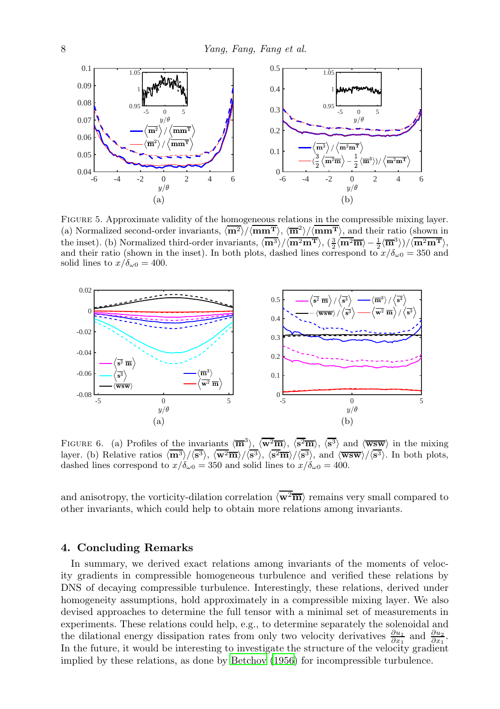

<span id="page-7-0"></span>Figure 5. Approximate validity of the homogeneous relations in the compressible mixing layer. (a) Normalized second-order invariants,  $\langle \overline{m^2} \rangle / \langle \overline{mm^T} \rangle$ ,  $\langle \overline{m^2} \rangle / \langle \overline{mm^T} \rangle$ , and their ratio (shown in the inset). (b) Normalized third-order invariants,  $\langle \overline{m^3} \rangle / \langle \overline{m^2m^T} \rangle$ ,  $(\frac{3}{2} \langle \overline{m^2m} \rangle - \frac{1}{2} \langle \overline{m}^3 \rangle)/\langle \overline{m^2m^T} \rangle$ , and their ratio (shown in the inset). In both plots, dashed lines correspond to  $x/\delta_{\omega 0} = 350$  and solid lines to  $x/\delta_{\omega 0} = 400$ .



<span id="page-7-1"></span>FIGURE 6. (a) Profiles of the invariants  $\langle \overline{m}^3 \rangle$ ,  $\langle \overline{w^2m} \rangle$ ,  $\langle \overline{s^2m} \rangle$ ,  $\langle \overline{s^3} \rangle$  and  $\langle \overline{wsw} \rangle$  in the mixing layer. (b) Relative ratios  $\langle \overline{\mathbf{m}}^3 \rangle / \langle \overline{\mathbf{s}^3} \rangle$ ,  $\langle \overline{\mathbf{w}^2\mathbf{m}} \rangle / \langle \overline{\mathbf{s}^3} \rangle$ ,  $\langle \overline{\mathbf{s}^2\mathbf{m}} \rangle / \langle \overline{\mathbf{s}^3} \rangle$ , and  $\langle \overline{\mathbf{w} \mathbf{s} \mathbf{w}} \rangle / \langle \overline{\mathbf{s}^3} \rangle$ . In both plots, dashed lines correspond to  $x/\delta_{\omega 0} = 350$  and solid lines to  $x/\delta_{\omega 0} = 400$ .

and anisotropy, the vorticity-dilation correlation  $\langle \mathbf{w}^2 \overline{\mathbf{m}} \rangle$  remains very small compared to other invariants, which could help to obtain more relations among invariants.

#### 4. Concluding Remarks

In summary, we derived exact relations among invariants of the moments of velocity gradients in compressible homogeneous turbulence and verified these relations by DNS of decaying compressible turbulence. Interestingly, these relations, derived under homogeneity assumptions, hold approximately in a compressible mixing layer. We also devised approaches to determine the full tensor with a minimal set of measurements in experiments. These relations could help, e.g., to determine separately the solenoidal and the dilational energy dissipation rates from only two velocity derivatives  $\frac{\partial u_1}{\partial x_1}$  and  $\frac{\partial u_2}{\partial x_1}$ . In the future, it would be interesting to investigate the structure of the velocity gradient implied by these relations, as done by [Betchov \(1956](#page-8-1)) for incompressible turbulence.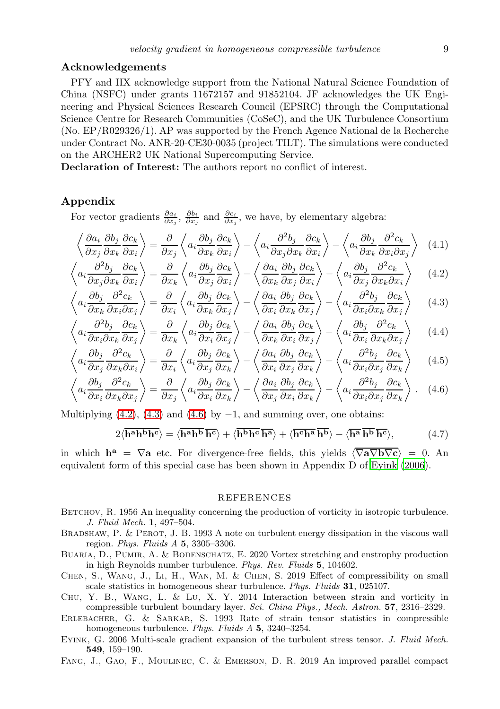### Acknowledgements

PFY and HX acknowledge support from the National Natural Science Foundation of China (NSFC) under grants 11672157 and 91852104. JF acknowledges the UK Engineering and Physical Sciences Research Council (EPSRC) through the Computational Science Centre for Research Communities (CoSeC), and the UK Turbulence Consortium (No. EP/R029326/1). AP was supported by the French Agence National de la Recherche under Contract No. ANR-20-CE30-0035 (project TILT). The simulations were conducted on the ARCHER2 UK National Supercomputing Service.

Declaration of Interest: The authors report no conflict of interest.

## Appendix

For vector gradients  $\frac{\partial a_i}{\partial x_j}$ ,  $\frac{\partial b_i}{\partial x_j}$  and  $\frac{\partial c_i}{\partial x_j}$ , we have, by elementary algebra:

$$
\left\langle \frac{\partial a_i}{\partial x_j} \frac{\partial b_j}{\partial x_k} \frac{\partial c_k}{\partial x_i} \right\rangle = \frac{\partial}{\partial x_j} \left\langle a_i \frac{\partial b_j}{\partial x_k} \frac{\partial c_k}{\partial x_i} \right\rangle - \left\langle a_i \frac{\partial^2 b_j}{\partial x_j \partial x_k} \frac{\partial c_k}{\partial x_i} \right\rangle - \left\langle a_i \frac{\partial b_j}{\partial x_k} \frac{\partial^2 c_k}{\partial x_i \partial x_j} \right\rangle \tag{4.1}
$$

$$
\left\langle a_i \frac{\partial^2 b_j}{\partial x_j \partial x_k} \frac{\partial c_k}{\partial x_i} \right\rangle = \frac{\partial}{\partial x_k} \left\langle a_i \frac{\partial b_j}{\partial x_j} \frac{\partial c_k}{\partial x_i} \right\rangle - \left\langle \frac{\partial a_i}{\partial x_k} \frac{\partial b_j}{\partial x_j} \frac{\partial c_k}{\partial x_i} \right\rangle - \left\langle a_i \frac{\partial b_j}{\partial x_j} \frac{\partial^2 c_k}{\partial x_k \partial x_i} \right\rangle \tag{4.2}
$$

$$
\left\langle a_i \frac{\partial b_j}{\partial x_k} \frac{\partial^2 c_k}{\partial x_i \partial x_j} \right\rangle = \frac{\partial}{\partial x_i} \left\langle a_i \frac{\partial b_j}{\partial x_k} \frac{\partial c_k}{\partial x_j} \right\rangle - \left\langle \frac{\partial a_i}{\partial x_i} \frac{\partial b_j}{\partial x_k} \frac{\partial c_k}{\partial x_j} \right\rangle - \left\langle a_i \frac{\partial^2 b_j}{\partial x_i \partial x_k} \frac{\partial c_k}{\partial x_j} \right\rangle \tag{4.3}
$$

$$
\left\langle a_i \frac{\partial^2 b_j}{\partial x_i \partial x_k} \frac{\partial c_k}{\partial x_j} \right\rangle = \frac{\partial}{\partial x_k} \left\langle a_i \frac{\partial b_j}{\partial x_i} \frac{\partial c_k}{\partial x_j} \right\rangle - \left\langle \frac{\partial a_i}{\partial x_k} \frac{\partial b_j}{\partial x_i} \frac{\partial c_k}{\partial x_j} \right\rangle - \left\langle a_i \frac{\partial b_j}{\partial x_i} \frac{\partial^2 c_k}{\partial x_k \partial x_j} \right\rangle \tag{4.4}
$$

$$
\left\langle a_i \frac{\partial b_j}{\partial x_j} \frac{\partial^2 c_k}{\partial x_k \partial x_i} \right\rangle = \frac{\partial}{\partial x_i} \left\langle a_i \frac{\partial b_j}{\partial x_j} \frac{\partial c_k}{\partial x_k} \right\rangle - \left\langle \frac{\partial a_i}{\partial x_i} \frac{\partial b_j}{\partial x_j} \frac{\partial c_k}{\partial x_k} \right\rangle - \left\langle a_i \frac{\partial^2 b_j}{\partial x_i \partial x_j} \frac{\partial c_k}{\partial x_k} \right\rangle \tag{4.5}
$$

$$
\left\langle a_i \frac{\partial b_j}{\partial x_i} \frac{\partial^2 c_k}{\partial x_k \partial x_j} \right\rangle = \frac{\partial}{\partial x_j} \left\langle a_i \frac{\partial b_j}{\partial x_i} \frac{\partial c_k}{\partial x_k} \right\rangle - \left\langle \frac{\partial a_i}{\partial x_j} \frac{\partial b_j}{\partial x_i} \frac{\partial c_k}{\partial x_k} \right\rangle - \left\langle a_i \frac{\partial^2 b_j}{\partial x_i \partial x_j} \frac{\partial c_k}{\partial x_k} \right\rangle. \tag{4.6}
$$

Multiplying  $(4.2)$ ,  $(4.3)$  and  $(4.6)$  by  $-1$ , and summing over, one obtains:

<span id="page-8-5"></span>
$$
2\langle \overline{\mathbf{h^a h^b h^c}} \rangle = \langle \overline{\mathbf{h^a h^b h^c}} \rangle + \langle \overline{\mathbf{h^b h^c h^a h^a}} \rangle + \langle \overline{\mathbf{h^c h^a h^b}} \rangle - \langle \overline{\mathbf{h^a h^b h^c}} \rangle, \tag{4.7}
$$

in which  $h^a = \nabla a$  etc. For divergence-free fields, this yields  $\langle \nabla a \nabla b \nabla c \rangle = 0$ . An equivalent form of this special case has been shown in Appendix D of [Eyink \(2006](#page-8-11)).

#### <span id="page-8-10"></span><span id="page-8-9"></span><span id="page-8-8"></span>REFERENCES

- <span id="page-8-1"></span>BETCHOV, R. 1956 An inequality concerning the production of vorticity in isotropic turbulence. *J. Fluid Mech.* 1, 497–504.
- <span id="page-8-2"></span>BRADSHAW, P. & PEROT, J. B. 1993 A note on turbulent energy dissipation in the viscous wall region. *Phys. Fluids A* 5, 3305–3306.
- <span id="page-8-0"></span>BUARIA, D., PUMIR, A. & BODENSCHATZ, E. 2020 Vortex stretching and enstrophy production in high Reynolds number turbulence. *Phys. Rev. Fluids* 5, 104602.
- <span id="page-8-3"></span>Chen, S., Wang, J., Li, H., Wan, M. & Chen, S. 2019 Effect of compressibility on small scale statistics in homogeneous shear turbulence. *Phys. Fluids* 31, 025107.
- <span id="page-8-4"></span>Chu, Y. B., Wang, L. & Lu, X. Y. 2014 Interaction between strain and vorticity in compressible turbulent boundary layer. *Sci. China Phys., Mech. Astron.* 57, 2316–2329.
- <span id="page-8-7"></span>Erlebacher, G. & Sarkar, S. 1993 Rate of strain tensor statistics in compressible homogeneous turbulence. *Phys. Fluids A* 5, 3240–3254.
- <span id="page-8-11"></span>Eyink, G. 2006 Multi-scale gradient expansion of the turbulent stress tensor. *J. Fluid Mech.* 549, 159–190.
- <span id="page-8-6"></span>Fang, J., Gao, F., Moulinec, C. & Emerson, D. R. 2019 An improved parallel compact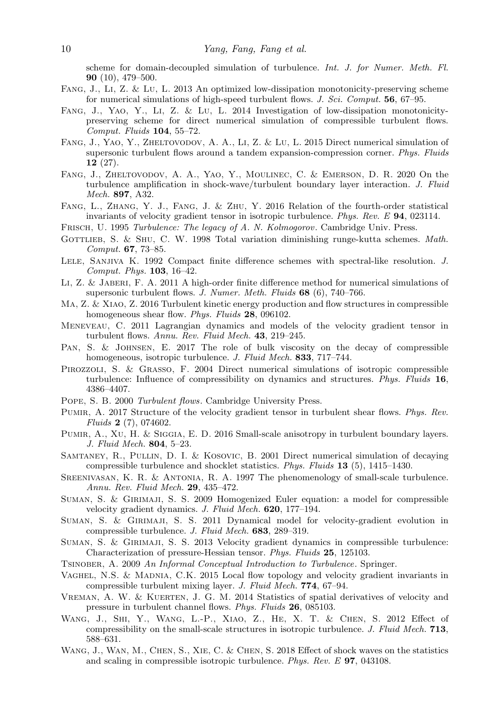scheme for domain-decoupled simulation of turbulence. *Int. J. for Numer. Meth. Fl.* 90 (10), 479–500.

- <span id="page-9-18"></span>Fang, J., Li, Z. & Lu, L. 2013 An optimized low-dissipation monotonicity-preserving scheme for numerical simulations of high-speed turbulent flows. *J. Sci. Comput.* 56, 67–95.
- <span id="page-9-21"></span>Fang, J., Yao, Y., Li, Z. & Lu, L. 2014 Investigation of low-dissipation monotonicitypreserving scheme for direct numerical simulation of compressible turbulent flows. *Comput. Fluids* 104, 55–72.
- <span id="page-9-22"></span>FANG, J., YAO, Y., ZHELTOVODOV, A. A., LI, Z. & LU, L. 2015 Direct numerical simulation of supersonic turbulent flows around a tandem expansion-compression corner. *Phys. Fluids*  $12(27)$ .
- <span id="page-9-23"></span>Fang, J., Zheltovodov, A. A., Yao, Y., Moulinec, C. & Emerson, D. R. 2020 On the turbulence amplification in shock-wave/turbulent boundary layer interaction. *J. Fluid Mech.* 897, A32.
- <span id="page-9-10"></span>Fang, L., Zhang, Y. J., Fang, J. & Zhu, Y. 2016 Relation of the fourth-order statistical invariants of velocity gradient tensor in isotropic turbulence. *Phys. Rev. E* 94, 023114.
- <span id="page-9-0"></span>Frisch, U. 1995 *Turbulence: The legacy of A. N. Kolmogorov*. Cambridge Univ. Press.
- <span id="page-9-20"></span>GOTTLIEB, S. & SHU, C. W. 1998 Total variation diminishing runge-kutta schemes. *Math. Comput.* 67, 73–85.
- <span id="page-9-19"></span>Lele, Sanjiva K. 1992 Compact finite difference schemes with spectral-like resolution. *J. Comput. Phys.* 103, 16–42.
- <span id="page-9-25"></span>Li, Z. & Jaberi, F. A. 2011 A high-order finite difference method for numerical simulations of supersonic turbulent flows. *J. Numer. Meth. Fluids* 68 (6), 740–766.
- <span id="page-9-12"></span>Ma, Z. & Xiao, Z. 2016 Turbulent kinetic energy production and flow structures in compressible homogeneous shear flow. *Phys. Fluids* 28, 096102.
- <span id="page-9-2"></span>Meneveau, C. 2011 Lagrangian dynamics and models of the velocity gradient tensor in turbulent flows. *Annu. Rev. Fluid Mech.* 43, 219–245.
- <span id="page-9-17"></span>Pan, S. & Johnsen, E. 2017 The role of bulk viscosity on the decay of compressible homogeneous, isotropic turbulence. *J. Fluid Mech.* 833, 717–744.
- <span id="page-9-8"></span>PIROZZOLI, S. & GRASSO, F. 2004 Direct numerical simulations of isotropic compressible turbulence: Influence of compressibility on dynamics and structures. *Phys. Fluids* 16, 4386–4407.
- <span id="page-9-4"></span>Pope, S. B. 2000 *Turbulent flows*. Cambridge University Press.
- <span id="page-9-7"></span>Pumir, A. 2017 Structure of the velocity gradient tensor in turbulent shear flows. *Phys. Rev. Fluids* 2 (7), 074602.
- <span id="page-9-5"></span>Pumir, A., Xu, H. & Siggia, E. D. 2016 Small-scale anisotropy in turbulent boundary layers. *J. Fluid Mech.* 804, 5–23.
- <span id="page-9-24"></span>Samtaney, R., Pullin, D. I. & Kosovic, B. 2001 Direct numerical simulation of decaying compressible turbulence and shocklet statistics. *Phys. Fluids* 13 (5), 1415–1430.
- <span id="page-9-1"></span>Sreenivasan, K. R. & Antonia, R. A. 1997 The phenomenology of small-scale turbulence. *Annu. Rev. Fluid Mech.* 29, 435–472.
- <span id="page-9-14"></span>Suman, S. & Girimaji, S. S. 2009 Homogenized Euler equation: a model for compressible velocity gradient dynamics. *J. Fluid Mech.* 620, 177–194.
- <span id="page-9-15"></span>Suman, S. & Girimaji, S. S. 2011 Dynamical model for velocity-gradient evolution in compressible turbulence. *J. Fluid Mech.* 683, 289–319.
- <span id="page-9-16"></span>Suman, S. & Girimaji, S. S. 2013 Velocity gradient dynamics in compressible turbulence: Characterization of pressure-Hessian tensor. *Phys. Fluids* 25, 125103.
- <span id="page-9-3"></span>Tsinober, A. 2009 *An Informal Conceptual Introduction to Turbulence*. Springer.
- <span id="page-9-13"></span>Vaghel, N.S. & Madnia, C.K. 2015 Local flow topology and velocity gradient invariants in compressible turbulent mixing layer. *J. Fluid Mech.* 774, 67–94.
- <span id="page-9-6"></span>Vreman, A. W. & Kuerten, J. G. M. 2014 Statistics of spatial derivatives of velocity and pressure in turbulent channel flows. *Phys. Fluids* 26, 085103.
- <span id="page-9-9"></span>Wang, J., Shi, Y., Wang, L.-P., Xiao, Z., He, X. T. & Chen, S. 2012 Effect of compressibility on the small-scale structures in isotropic turbulence. *J. Fluid Mech.* 713, 588–631.
- <span id="page-9-11"></span>WANG, J., WAN, M., CHEN, S., XIE, C. & CHEN, S. 2018 Effect of shock waves on the statistics and scaling in compressible isotropic turbulence. *Phys. Rev. E* 97, 043108.